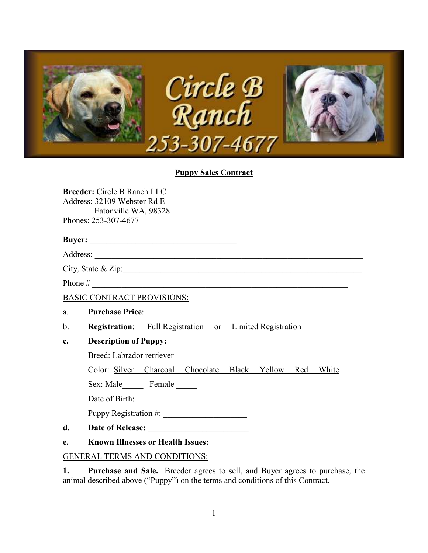

## **Puppy Sales Contract**

**Breeder:** Circle B Ranch LLC Address: 32109 Webster Rd E Eatonville WA, 98328 Phones: 253-307-4677

### **Buyer:** \_\_\_\_\_\_\_\_\_\_\_\_\_\_\_\_\_\_\_\_\_\_\_\_\_\_\_\_\_\_\_\_\_\_\_

Address: \_\_\_\_\_\_\_\_\_\_\_\_\_\_\_\_\_\_\_\_\_\_\_\_\_\_\_\_\_\_\_\_\_\_\_\_\_\_\_\_\_\_\_\_\_\_\_\_\_\_\_\_\_\_\_\_\_\_\_\_\_\_\_\_

City, State & Zip:\_\_\_\_\_\_\_\_\_\_\_\_\_\_\_\_\_\_\_\_\_\_\_\_\_\_\_\_\_\_\_\_\_\_\_\_\_\_\_\_\_\_\_\_\_\_\_\_\_\_\_\_\_\_\_\_\_

Phone  $\#$ 

BASIC CONTRACT PROVISIONS:

- a. **Purchase Price**: \_\_\_\_\_\_\_\_\_\_\_\_\_\_\_\_
- b. **Registration**: Full Registration or Limited Registration

## **c. Description of Puppy:**

Breed: Labrador retriever

Color: Silver Charcoal Chocolate Black Yellow Red White

Sex: Male Female

Date of Birth: \_\_\_\_\_\_\_\_\_\_\_\_\_\_\_\_\_\_\_\_\_\_\_\_\_\_

Puppy Registration #:

- **d. Date of Release:** \_\_\_\_\_\_\_\_\_\_\_\_\_\_\_\_\_\_\_\_\_\_\_\_
- **e. Known Illnesses or Health Issues:** \_\_\_\_\_\_\_\_\_\_\_\_\_\_\_\_\_\_\_\_\_\_\_\_\_\_\_\_\_\_\_\_\_\_\_\_

## GENERAL TERMS AND CONDITIONS:

**1. Purchase and Sale.** Breeder agrees to sell, and Buyer agrees to purchase, the animal described above ("Puppy") on the terms and conditions of this Contract.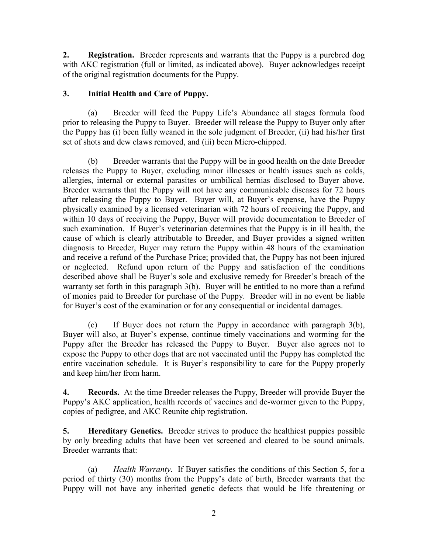**2. Registration.** Breeder represents and warrants that the Puppy is a purebred dog with AKC registration (full or limited, as indicated above). Buyer acknowledges receipt of the original registration documents for the Puppy.

# **3. Initial Health and Care of Puppy.**

(a) Breeder will feed the Puppy Life's Abundance all stages formula food prior to releasing the Puppy to Buyer. Breeder will release the Puppy to Buyer only after the Puppy has (i) been fully weaned in the sole judgment of Breeder, (ii) had his/her first set of shots and dew claws removed, and (iii) been Micro-chipped.

(b) Breeder warrants that the Puppy will be in good health on the date Breeder releases the Puppy to Buyer, excluding minor illnesses or health issues such as colds, allergies, internal or external parasites or umbilical hernias disclosed to Buyer above. Breeder warrants that the Puppy will not have any communicable diseases for 72 hours after releasing the Puppy to Buyer. Buyer will, at Buyer's expense, have the Puppy physically examined by a licensed veterinarian with 72 hours of receiving the Puppy, and within 10 days of receiving the Puppy, Buyer will provide documentation to Breeder of such examination. If Buyer's veterinarian determines that the Puppy is in ill health, the cause of which is clearly attributable to Breeder, and Buyer provides a signed written diagnosis to Breeder, Buyer may return the Puppy within 48 hours of the examination and receive a refund of the Purchase Price; provided that, the Puppy has not been injured or neglected. Refund upon return of the Puppy and satisfaction of the conditions described above shall be Buyer's sole and exclusive remedy for Breeder's breach of the warranty set forth in this paragraph 3(b). Buyer will be entitled to no more than a refund of monies paid to Breeder for purchase of the Puppy. Breeder will in no event be liable for Buyer's cost of the examination or for any consequential or incidental damages.

(c) If Buyer does not return the Puppy in accordance with paragraph 3(b), Buyer will also, at Buyer's expense, continue timely vaccinations and worming for the Puppy after the Breeder has released the Puppy to Buyer. Buyer also agrees not to expose the Puppy to other dogs that are not vaccinated until the Puppy has completed the entire vaccination schedule. It is Buyer's responsibility to care for the Puppy properly and keep him/her from harm.

**4. Records.** At the time Breeder releases the Puppy, Breeder will provide Buyer the Puppy's AKC application, health records of vaccines and de-wormer given to the Puppy, copies of pedigree, and AKC Reunite chip registration.

**5. Hereditary Genetics.** Breeder strives to produce the healthiest puppies possible by only breeding adults that have been vet screened and cleared to be sound animals. Breeder warrants that:

 (a) *Health Warranty*. If Buyer satisfies the conditions of this Section 5, for a period of thirty (30) months from the Puppy's date of birth, Breeder warrants that the Puppy will not have any inherited genetic defects that would be life threatening or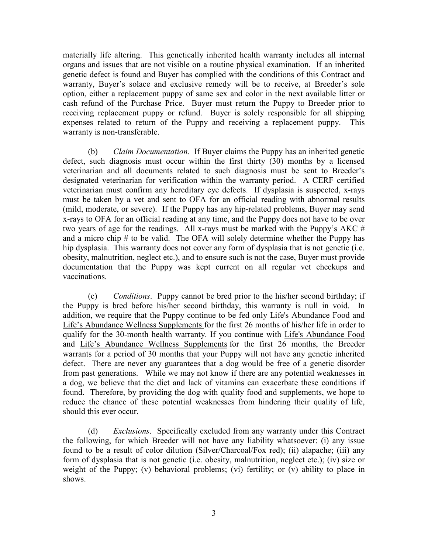materially life altering. This genetically inherited health warranty includes all internal organs and issues that are not visible on a routine physical examination. If an inherited genetic defect is found and Buyer has complied with the conditions of this Contract and warranty, Buyer's solace and exclusive remedy will be to receive, at Breeder's sole option, either a replacement puppy of same sex and color in the next available litter or cash refund of the Purchase Price. Buyer must return the Puppy to Breeder prior to receiving replacement puppy or refund. Buyer is solely responsible for all shipping expenses related to return of the Puppy and receiving a replacement puppy. This warranty is non-transferable.

(b) *Claim Documentation.* If Buyer claims the Puppy has an inherited genetic defect, such diagnosis must occur within the first thirty (30) months by a licensed veterinarian and all documents related to such diagnosis must be sent to Breeder's designated veterinarian for verification within the warranty period. A CERF certified veterinarian must confirm any hereditary eye defects. If dysplasia is suspected, x-rays must be taken by a vet and sent to OFA for an official reading with abnormal results (mild, moderate, or severe). If the Puppy has any hip-related problems, Buyer may send x-rays to OFA for an official reading at any time, and the Puppy does not have to be over two years of age for the readings. All x-rays must be marked with the Puppy's AKC  $#$ and a micro chip # to be valid. The OFA will solely determine whether the Puppy has hip dysplasia. This warranty does not cover any form of dysplasia that is not genetic (i.e. obesity, malnutrition, neglect etc.), and to ensure such is not the case, Buyer must provide documentation that the Puppy was kept current on all regular vet checkups and vaccinations.

 (c) *Conditions*. Puppy cannot be bred prior to the his/her second birthday; if the Puppy is bred before his/her second birthday, this warranty is null in void. In addition, we require that the Puppy continue to be fed only Life's Abundance Food and Life's Abundance Wellness Supplements for the first 26 months of his/her life in order to qualify for the 30-month health warranty. If you continue with Life's Abundance Food and Life's Abundance Wellness Supplements for the first 26 months, the Breeder warrants for a period of 30 months that your Puppy will not have any genetic inherited defect. There are never any guarantees that a dog would be free of a genetic disorder from past generations. While we may not know if there are any potential weaknesses in a dog, we believe that the diet and lack of vitamins can exacerbate these conditions if found. Therefore, by providing the dog with quality food and supplements, we hope to reduce the chance of these potential weaknesses from hindering their quality of life, should this ever occur.

(d) *Exclusions*. Specifically excluded from any warranty under this Contract the following, for which Breeder will not have any liability whatsoever: (i) any issue found to be a result of color dilution (Silver/Charcoal/Fox red); (ii) alapache; (iii) any form of dysplasia that is not genetic (i.e. obesity, malnutrition, neglect etc.); (iv) size or weight of the Puppy; (v) behavioral problems; (vi) fertility; or (v) ability to place in shows.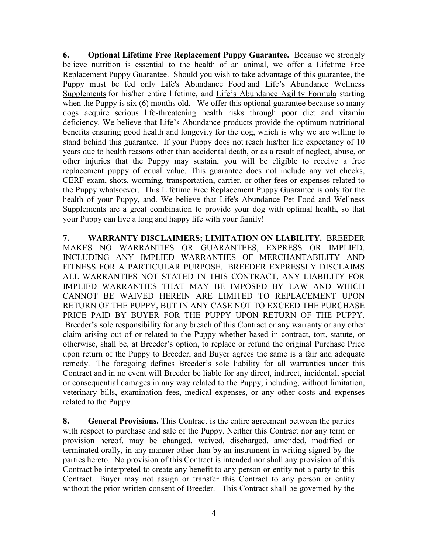**6. Optional Lifetime Free Replacement Puppy Guarantee.** Because we strongly believe nutrition is essential to the health of an animal, we offer a Lifetime Free Replacement Puppy Guarantee. Should you wish to take advantage of this guarantee, the Puppy must be fed only Life's Abundance Food and Life's Abundance Wellness Supplements for his/her entire lifetime, and Life's Abundance Agility Formula starting when the Puppy is six (6) months old. We offer this optional guarantee because so many dogs acquire serious life-threatening health risks through poor diet and vitamin deficiency. We believe that Life's Abundance products provide the optimum nutritional benefits ensuring good health and longevity for the dog, which is why we are willing to stand behind this guarantee. If your Puppy does not reach his/her life expectancy of 10 years due to health reasons other than accidental death, or as a result of neglect, abuse, or other injuries that the Puppy may sustain, you will be eligible to receive a free replacement puppy of equal value. This guarantee does not include any vet checks, CERF exam, shots, worming, transportation, carrier, or other fees or expenses related to the Puppy whatsoever. This Lifetime Free Replacement Puppy Guarantee is only for the health of your Puppy, and. We believe that Life's Abundance Pet Food and Wellness Supplements are a great combination to provide your dog with optimal health, so that your Puppy can live a long and happy life with your family!

**7. WARRANTY DISCLAIMERS; LIMITATION ON LIABILITY.** BREEDER MAKES NO WARRANTIES OR GUARANTEES, EXPRESS OR IMPLIED, INCLUDING ANY IMPLIED WARRANTIES OF MERCHANTABILITY AND FITNESS FOR A PARTICULAR PURPOSE. BREEDER EXPRESSLY DISCLAIMS ALL WARRANTIES NOT STATED IN THIS CONTRACT, ANY LIABILITY FOR IMPLIED WARRANTIES THAT MAY BE IMPOSED BY LAW AND WHICH CANNOT BE WAIVED HEREIN ARE LIMITED TO REPLACEMENT UPON RETURN OF THE PUPPY, BUT IN ANY CASE NOT TO EXCEED THE PURCHASE PRICE PAID BY BUYER FOR THE PUPPY UPON RETURN OF THE PUPPY. Breeder's sole responsibility for any breach of this Contract or any warranty or any other claim arising out of or related to the Puppy whether based in contract, tort, statute, or otherwise, shall be, at Breeder's option, to replace or refund the original Purchase Price upon return of the Puppy to Breeder, and Buyer agrees the same is a fair and adequate remedy. The foregoing defines Breeder's sole liability for all warranties under this Contract and in no event will Breeder be liable for any direct, indirect, incidental, special or consequential damages in any way related to the Puppy, including, without limitation, veterinary bills, examination fees, medical expenses, or any other costs and expenses related to the Puppy.

**8. General Provisions.** This Contract is the entire agreement between the parties with respect to purchase and sale of the Puppy. Neither this Contract nor any term or provision hereof, may be changed, waived, discharged, amended, modified or terminated orally, in any manner other than by an instrument in writing signed by the parties hereto. No provision of this Contract is intended nor shall any provision of this Contract be interpreted to create any benefit to any person or entity not a party to this Contract. Buyer may not assign or transfer this Contract to any person or entity without the prior written consent of Breeder. This Contract shall be governed by the